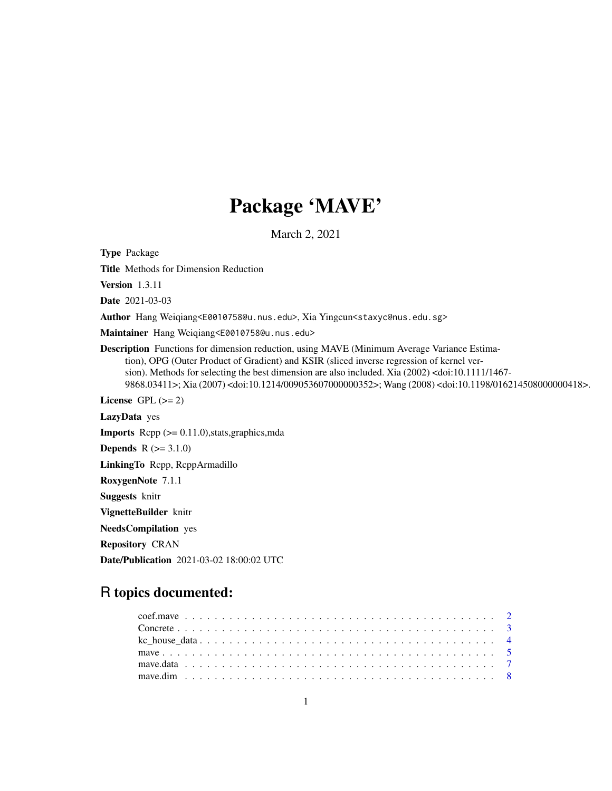# Package 'MAVE'

March 2, 2021

<span id="page-0-0"></span>Type Package

Title Methods for Dimension Reduction

Version 1.3.11

Date 2021-03-03

Author Hang Weiqiang<E0010758@u.nus.edu>, Xia Yingcun<staxyc@nus.edu.sg>

Maintainer Hang Weiqiang<E0010758@u.nus.edu>

Description Functions for dimension reduction, using MAVE (Minimum Average Variance Estimation), OPG (Outer Product of Gradient) and KSIR (sliced inverse regression of kernel version). Methods for selecting the best dimension are also included. Xia (2002) <doi:10.1111/1467- 9868.03411>; Xia (2007) <doi:10.1214/009053607000000352>; Wang (2008) <doi:10.1198/016214508000000418>.

License GPL  $(>= 2)$ 

LazyData yes

Imports Rcpp (>= 0.11.0),stats,graphics,mda

**Depends**  $R (= 3.1.0)$ 

LinkingTo Rcpp, RcppArmadillo

RoxygenNote 7.1.1

Suggests knitr

VignetteBuilder knitr

NeedsCompilation yes

Repository CRAN

Date/Publication 2021-03-02 18:00:02 UTC

# R topics documented: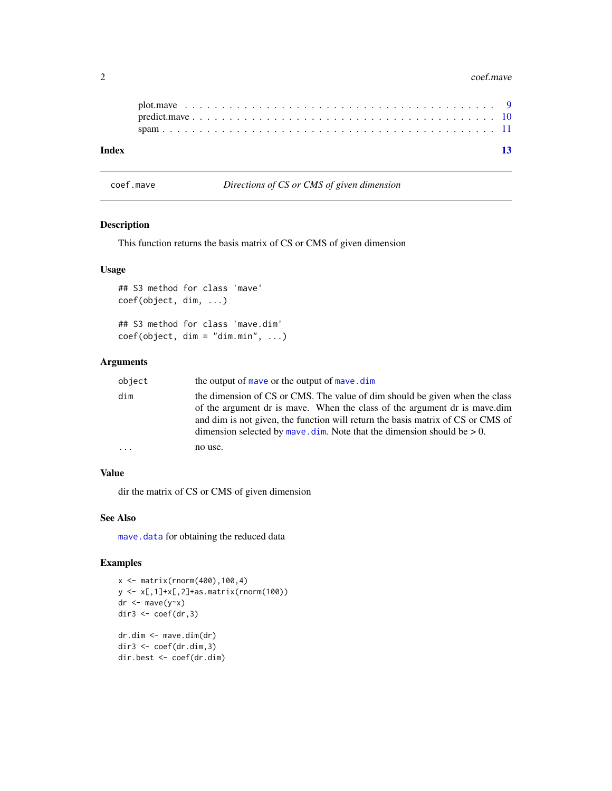#### <span id="page-1-0"></span>2 coef.mave community and the coef.mave coef.mave coef.mave coef.mave coef.mave coef.mave coef.mave

| Index |  |  |  |  |  |  |  |  |  |  |  |  |  |  |  |  |  |  |  | $\overline{13}$ |
|-------|--|--|--|--|--|--|--|--|--|--|--|--|--|--|--|--|--|--|--|-----------------|
|       |  |  |  |  |  |  |  |  |  |  |  |  |  |  |  |  |  |  |  |                 |
|       |  |  |  |  |  |  |  |  |  |  |  |  |  |  |  |  |  |  |  |                 |

<span id="page-1-1"></span>coef.mave *Directions of CS or CMS of given dimension*

# Description

This function returns the basis matrix of CS or CMS of given dimension

# Usage

```
## S3 method for class 'mave'
coef(object, dim, ...)
## S3 method for class 'mave.dim'
coef(object, dim = "dim.min", ...)
```
# Arguments

| object   | the output of maye or the output of maye.dim                                                                                                                                                                                                                                                                                  |
|----------|-------------------------------------------------------------------------------------------------------------------------------------------------------------------------------------------------------------------------------------------------------------------------------------------------------------------------------|
| dim      | the dimension of CS or CMS. The value of dim should be given when the class<br>of the argument dr is maye. When the class of the argument dr is maye.dim<br>and dim is not given, the function will return the basis matrix of CS or CMS of<br>dimension selected by mave. $\dim$ . Note that the dimension should be $> 0$ . |
| $\ddots$ | no use.                                                                                                                                                                                                                                                                                                                       |

# Value

dir the matrix of CS or CMS of given dimension

# See Also

[mave.data](#page-6-1) for obtaining the reduced data

```
x <- matrix(rnorm(400),100,4)
y <- x[,1]+x[,2]+as.matrix(rnorm(100))
dr \leftarrow mave(y~x)
dir3 \leq coef(dr, 3)
dr.dim <- mave.dim(dr)
dir3 <- coef(dr.dim,3)
dir.best <- coef(dr.dim)
```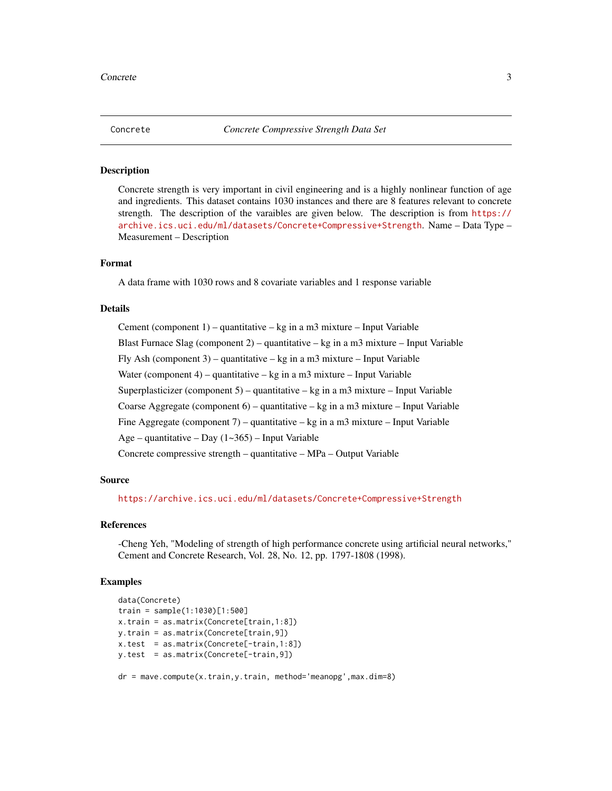<span id="page-2-0"></span>

#### Description

Concrete strength is very important in civil engineering and is a highly nonlinear function of age and ingredients. This dataset contains 1030 instances and there are 8 features relevant to concrete strength. The description of the varaibles are given below. The description is from [https://](https://archive.ics.uci.edu/ml/datasets/Concrete+Compressive+Strength) [archive.ics.uci.edu/ml/datasets/Concrete+Compressive+Strength](https://archive.ics.uci.edu/ml/datasets/Concrete+Compressive+Strength). Name – Data Type – Measurement – Description

### Format

A data frame with 1030 rows and 8 covariate variables and 1 response variable

#### Details

Cement (component  $1$ ) – quantitative – kg in a m3 mixture – Input Variable Blast Furnace Slag (component 2) – quantitative – kg in a m3 mixture – Input Variable Fly Ash (component 3) – quantitative – kg in a m3 mixture – Input Variable Water (component 4) – quantitative – kg in a m3 mixture – Input Variable Superplasticizer (component 5) – quantitative – kg in a m3 mixture – Input Variable Coarse Aggregate (component 6) – quantitative – kg in a m3 mixture – Input Variable Fine Aggregate (component 7) – quantitative – kg in a m3 mixture – Input Variable Age – quantitative – Day (1~365) – Input Variable Concrete compressive strength – quantitative – MPa – Output Variable

### Source

<https://archive.ics.uci.edu/ml/datasets/Concrete+Compressive+Strength>

#### References

-Cheng Yeh, "Modeling of strength of high performance concrete using artificial neural networks," Cement and Concrete Research, Vol. 28, No. 12, pp. 1797-1808 (1998).

```
data(Concrete)
train = sample(1:1030)[1:500]
x.train = as.matrix(Concrete[train,1:8])
y.train = as.matrix(Concrete[train,9])
x.test = as.matrix(Concrete[-train,1:8])
y.test = as.matrix(Concrete[-train,9])
dr = mave.compute(x.train,y.train, method='meanopg',max.dim=8)
```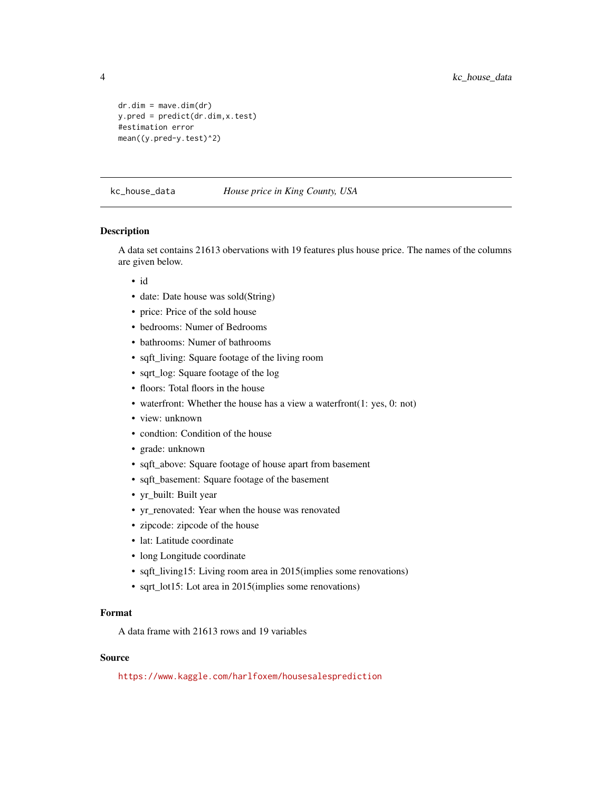```
dr.dim = mave.dim(dr)
y.pred = predict(dr.dim,x.test)
#estimation error
mean((y.pred-y.test)^2)
```
kc\_house\_data *House price in King County, USA*

### Description

A data set contains 21613 obervations with 19 features plus house price. The names of the columns are given below.

- id
- date: Date house was sold(String)
- price: Price of the sold house
- bedrooms: Numer of Bedrooms
- bathrooms: Numer of bathrooms
- sqft\_living: Square footage of the living room
- sqrt\_log: Square footage of the log
- floors: Total floors in the house
- waterfront: Whether the house has a view a waterfront(1: yes, 0: not)
- view: unknown
- condtion: Condition of the house
- grade: unknown
- sqft\_above: Square footage of house apart from basement
- sqft\_basement: Square footage of the basement
- yr\_built: Built year
- yr\_renovated: Year when the house was renovated
- zipcode: zipcode of the house
- lat: Latitude coordinate
- long Longitude coordinate
- sqft\_living15: Living room area in 2015(implies some renovations)
- sqrt\_lot15: Lot area in 2015(implies some renovations)

# Format

A data frame with 21613 rows and 19 variables

# Source

<https://www.kaggle.com/harlfoxem/housesalesprediction>

<span id="page-3-0"></span>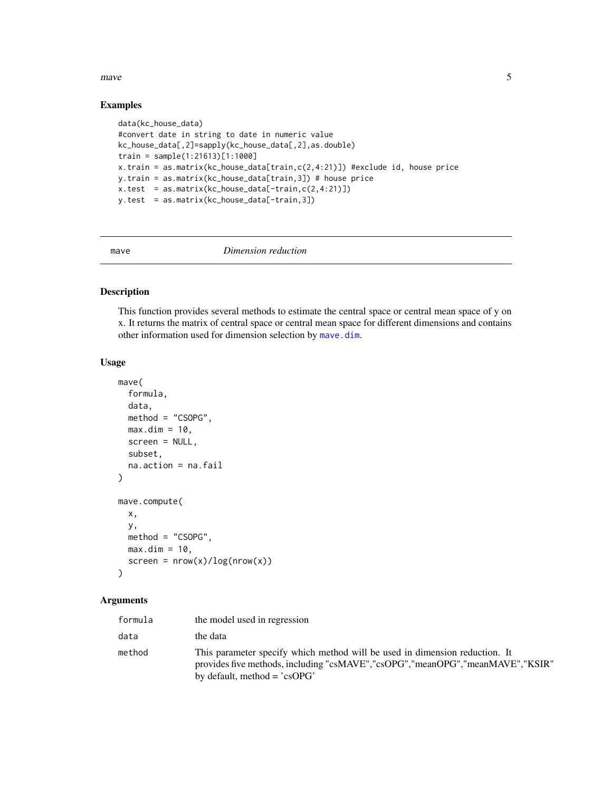#### <span id="page-4-0"></span>mave 5

# Examples

```
data(kc_house_data)
#convert date in string to date in numeric value
kc_house_data[,2]=sapply(kc_house_data[,2],as.double)
train = sample(1:21613)[1:1000]
x.train = as.matrix(kc_house_data[train,c(2,4:21)]) #exclude id, house price
y.train = as.matrix(kc_house_data[train,3]) # house price
x.test = as_matrix(kc\_house_data[-train, c(2, 4:21)])y.test = as.matrix(kc_house_data[-train,3])
```
<span id="page-4-1"></span>

#### mave *Dimension reduction*

# Description

This function provides several methods to estimate the central space or central mean space of y on x. It returns the matrix of central space or central mean space for different dimensions and contains other information used for dimension selection by [mave.dim](#page-7-1).

#### Usage

```
mave(
  formula,
  data,
 method = "CSOPG",
 max.dim = 10,
  screen = NULL,
  subset,
  na.action = na.fail
)
mave.compute(
  x,
 y,
 method = "CSOPG",
 max.dim = 10,
  screen = new(x)/log(nrow(x)))
```
#### Arguments

| formula | the model used in regression                                                                                                                                                                           |
|---------|--------------------------------------------------------------------------------------------------------------------------------------------------------------------------------------------------------|
| data    | the data                                                                                                                                                                                               |
| method  | This parameter specify which method will be used in dimension reduction. It<br>provides five methods, including "csMAVE","csOPG","meanOPG","meanMAVE","KSIR"<br>by default, method = $\text{``csoPG'}$ |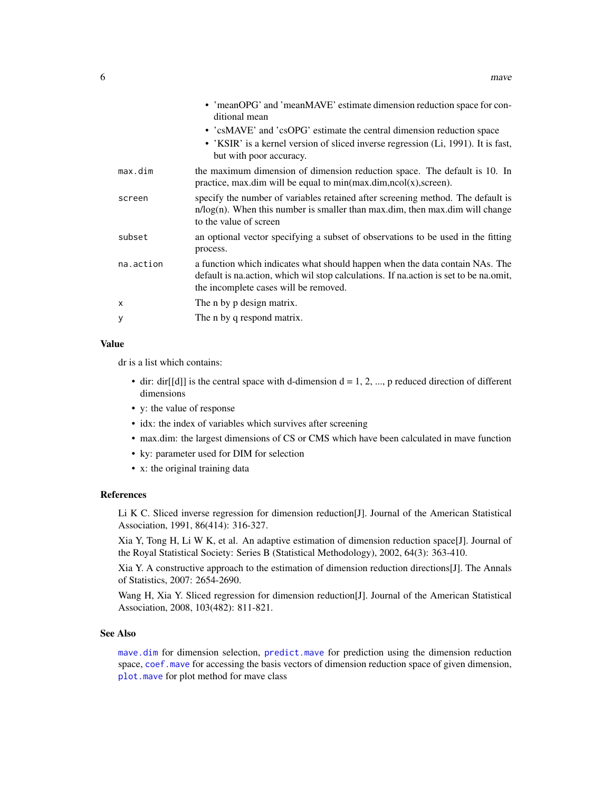<span id="page-5-0"></span>

|           | • 'meanOPG' and 'meanMAVE' estimate dimension reduction space for con-<br>ditional mean                                                                                                                        |
|-----------|----------------------------------------------------------------------------------------------------------------------------------------------------------------------------------------------------------------|
|           | • 'csMAVE' and 'csOPG' estimate the central dimension reduction space                                                                                                                                          |
|           | • 'KSIR' is a kernel version of sliced inverse regression (Li, 1991). It is fast,<br>but with poor accuracy.                                                                                                   |
| max.dim   | the maximum dimension of dimension reduction space. The default is 10. In<br>practice, max.dim will be equal to $min(max.dim, ncol(x), screen)$ .                                                              |
| screen    | specify the number of variables retained after screening method. The default is<br>$n/log(n)$ . When this number is smaller than max dim, then max dim will change<br>to the value of screen                   |
| subset    | an optional vector specifying a subset of observations to be used in the fitting<br>process.                                                                                                                   |
| na.action | a function which indicates what should happen when the data contain NAs. The<br>default is na.action, which wil stop calculations. If na.action is set to be na.omit,<br>the incomplete cases will be removed. |
| x         | The n by p design matrix.                                                                                                                                                                                      |
| У         | The n by q respond matrix.                                                                                                                                                                                     |
|           |                                                                                                                                                                                                                |

# Value

dr is a list which contains:

- dir: dir[[d]] is the central space with d-dimension  $d = 1, 2, ..., p$  reduced direction of different dimensions
- y: the value of response
- idx: the index of variables which survives after screening
- max.dim: the largest dimensions of CS or CMS which have been calculated in mave function
- ky: parameter used for DIM for selection
- x: the original training data

# References

Li K C. Sliced inverse regression for dimension reduction[J]. Journal of the American Statistical Association, 1991, 86(414): 316-327.

Xia Y, Tong H, Li W K, et al. An adaptive estimation of dimension reduction space[J]. Journal of the Royal Statistical Society: Series B (Statistical Methodology), 2002, 64(3): 363-410.

Xia Y. A constructive approach to the estimation of dimension reduction directions[J]. The Annals of Statistics, 2007: 2654-2690.

Wang H, Xia Y. Sliced regression for dimension reduction[J]. Journal of the American Statistical Association, 2008, 103(482): 811-821.

# See Also

[mave.dim](#page-7-1) for dimension selection, [predict.mave](#page-9-1) for prediction using the dimension reduction space, [coef.mave](#page-1-1) for accessing the basis vectors of dimension reduction space of given dimension, [plot.mave](#page-8-1) for plot method for mave class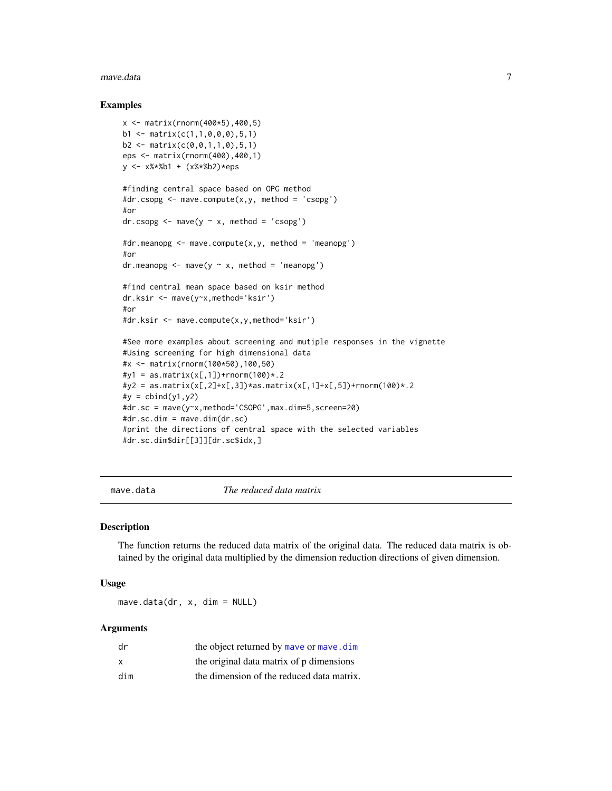#### <span id="page-6-0"></span>mave.data 7

#### Examples

```
x <- matrix(rnorm(400*5),400,5)
b1 \leq - matrix(c(1,1,0,0,0), 5, 1)
b2 \leq - matrix(c(0, 0, 1, 1, 0), 5, 1)
eps <- matrix(rnorm(400),400,1)
y <- x%*%b1 + (x%*%b2)*eps
#finding central space based on OPG method
#dr.csopg <- mave.compute(x,y, method = 'csopg')
#or
dr.csopg < - mave(y \sim x, method = 'csopg')
#dr.meanopg <- mave.compute(x,y, method = 'meanopg')
#or
dr.meanopg \leq mave(y \sim x, method = 'meanopg')
#find central mean space based on ksir method
dr.ksir <- mave(y~x,method='ksir')
#or
#dr.ksir <- mave.compute(x,y,method='ksir')
#See more examples about screening and mutiple responses in the vignette
#Using screening for high dimensional data
#x <- matrix(rnorm(100*50),100,50)
#y1 = as.matrix(x[,1])+rnorm(100)*.2
#y2 = as.matrix(x[,2]+x[,3])*as.matrix(x[,1]+x[,5])+rnorm(100)*.2
#y = \text{cbind}(y1, y2)#dr.sc = mave(y~x,method='CSOPG',max.dim=5,screen=20)
#dr.sc.dim = mave.dim(dr.sc)
#print the directions of central space with the selected variables
#dr.sc.dim$dir[[3]][dr.sc$idx,]
```
<span id="page-6-1"></span>mave.data *The reduced data matrix*

#### Description

The function returns the reduced data matrix of the original data. The reduced data matrix is obtained by the original data multiplied by the dimension reduction directions of given dimension.

#### Usage

 $m$ ave.data(dr, x, dim = NULL)

#### Arguments

| dr  | the object returned by maye or maye, dim  |
|-----|-------------------------------------------|
| x   | the original data matrix of p dimensions  |
| dim | the dimension of the reduced data matrix. |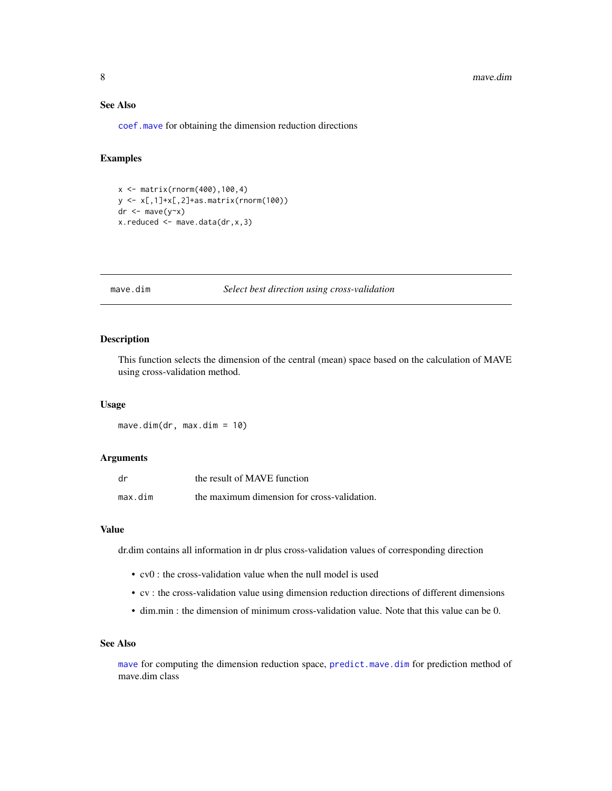# <span id="page-7-0"></span>See Also

[coef.mave](#page-1-1) for obtaining the dimension reduction directions

# Examples

```
x <- matrix(rnorm(400),100,4)
y <- x[,1]+x[,2]+as.matrix(rnorm(100))
dr < - mave(y~x)
x.reduced \leq mave.data(dr, x, 3)
```
#### <span id="page-7-1"></span>mave.dim *Select best direction using cross-validation*

#### Description

This function selects the dimension of the central (mean) space based on the calculation of MAVE using cross-validation method.

#### Usage

mave.dim(dr, max.dim = 10)

#### Arguments

| dr      | the result of MAVE function                 |
|---------|---------------------------------------------|
| max.dim | the maximum dimension for cross-validation. |

### Value

dr.dim contains all information in dr plus cross-validation values of corresponding direction

- cv0 : the cross-validation value when the null model is used
- cv : the cross-validation value using dimension reduction directions of different dimensions
- dim.min : the dimension of minimum cross-validation value. Note that this value can be 0.

# See Also

[mave](#page-4-1) for computing the dimension reduction space, [predict.mave.dim](#page-9-2) for prediction method of mave.dim class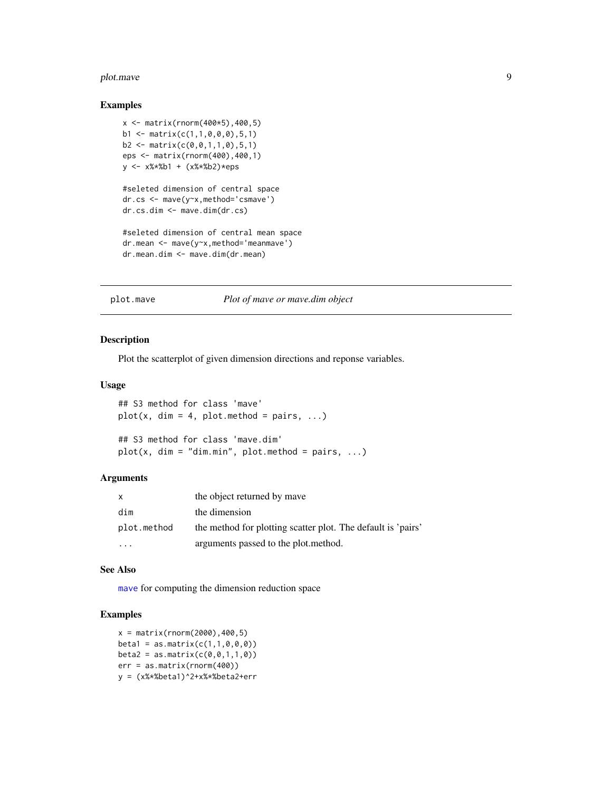#### <span id="page-8-0"></span>plot.mave 9

#### Examples

```
x <- matrix(rnorm(400*5),400,5)
b1 \leq - matrix(c(1,1,0,0,0),5,1)
b2 \leq - matrix(c(0, 0, 1, 1, 0), 5, 1)
eps <- matrix(rnorm(400),400,1)
y <- x%*%b1 + (x%*%b2)*eps
#seleted dimension of central space
dr.cs <- mave(y~x,method='csmave')
dr.cs.dim <- mave.dim(dr.cs)
#seleted dimension of central mean space
dr.mean <- mave(y~x,method='meanmave')
dr.mean.dim <- mave.dim(dr.mean)
```
#### <span id="page-8-1"></span>plot.mave *Plot of mave or mave.dim object*

#### Description

Plot the scatterplot of given dimension directions and reponse variables.

#### Usage

```
## S3 method for class 'mave'
plot(x, dim = 4, plot.method = pairs, ...)## S3 method for class 'mave.dim'
plot(x, dim = "dim.min", plot.method = pairs, ...)
```
# Arguments

| X           | the object returned by mave                                  |
|-------------|--------------------------------------------------------------|
| dim         | the dimension                                                |
| plot.method | the method for plotting scatter plot. The default is 'pairs' |
|             | arguments passed to the plot.method.                         |

#### See Also

[mave](#page-4-1) for computing the dimension reduction space

```
x = matrix(rnorm(2000), 400, 5)beta1 = as.matrix(c(1,1,0,0,0))beta2 = as.matrix(c(0,0,1,1,0))err = as.matrix(rnorm(400))
y = (x%*%beta1)^2+x%*%beta2+err
```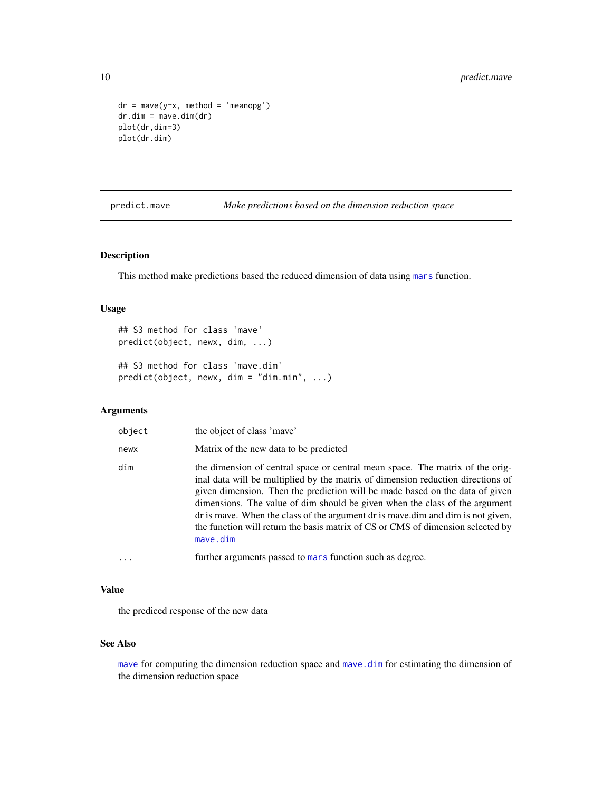```
dr = \text{move}(y \sim x, \text{ method} = 'meanopy')dr.dim = mave.dim(dr)
plot(dr,dim=3)
plot(dr.dim)
```
<span id="page-9-1"></span>predict.mave *Make predictions based on the dimension reduction space*

#### <span id="page-9-2"></span>Description

This method make predictions based the reduced dimension of data using [mars](#page-0-0) function.

# Usage

```
## S3 method for class 'mave'
predict(object, newx, dim, ...)
## S3 method for class 'mave.dim'
predict(object, newx, dim = "dim.min", ...)
```
#### Arguments

| object | the object of class 'mave'                                                                                                                                                                                                                                                                                                                                                                                                                                                                                            |
|--------|-----------------------------------------------------------------------------------------------------------------------------------------------------------------------------------------------------------------------------------------------------------------------------------------------------------------------------------------------------------------------------------------------------------------------------------------------------------------------------------------------------------------------|
| newx   | Matrix of the new data to be predicted                                                                                                                                                                                                                                                                                                                                                                                                                                                                                |
| dim    | the dimension of central space or central mean space. The matrix of the orig-<br>inal data will be multiplied by the matrix of dimension reduction directions of<br>given dimension. Then the prediction will be made based on the data of given<br>dimensions. The value of dim should be given when the class of the argument<br>dr is may be. When the class of the argument dr is may be dim and dim is not given,<br>the function will return the basis matrix of CS or CMS of dimension selected by<br>mave.dim |
| .      | further arguments passed to mars function such as degree.                                                                                                                                                                                                                                                                                                                                                                                                                                                             |

# Value

the prediced response of the new data

# See Also

[mave](#page-4-1) for computing the dimension reduction space and [mave.dim](#page-7-1) for estimating the dimension of the dimension reduction space

<span id="page-9-0"></span>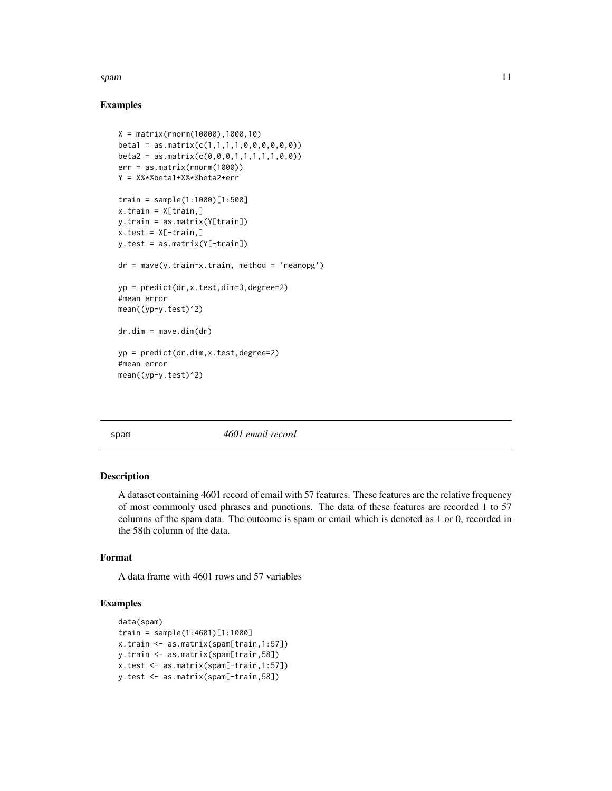#### <span id="page-10-0"></span>spam to the contract of the contract of the contract of the contract of the contract of the contract of the contract of the contract of the contract of the contract of the contract of the contract of the contract of the co

# Examples

```
X = matrix(rnorm(10000),1000,10)
beta1 = as_matrix(c(1,1,1,1,0,0,0,0,0,0))beta2 = as_matrix(c(0,0,0,1,1,1,1,1,0,0))err = as.matrix(rnorm(1000))
Y = X%*%beta1+X%*%beta2+err
train = sample(1:1000)[1:500]
x.train = X[train,]
y.train = as.matrix(Y[train])
x.test = X[-train, ]y.test = as.matrix(Y[-train])
dr = \text{move}(y.train~x.train, method = 'meanopg')yp = predict(dr,x.test,dim=3,degree=2)
#mean error
mean((yp-y.test)^2)
dr.dim = mave.dim(dr)
yp = predict(dr.dim,x.test,degree=2)
#mean error
mean((yp-y.test)^2)
```
spam *4601 email record*

#### Description

A dataset containing 4601 record of email with 57 features. These features are the relative frequency of most commonly used phrases and punctions. The data of these features are recorded 1 to 57 columns of the spam data. The outcome is spam or email which is denoted as 1 or 0, recorded in the 58th column of the data.

# Format

A data frame with 4601 rows and 57 variables

```
data(spam)
train = sample(1:4601)[1:1000]
x.train <- as.matrix(spam[train,1:57])
y.train <- as.matrix(spam[train,58])
x.test <- as.matrix(spam[-train,1:57])
y.test <- as.matrix(spam[-train,58])
```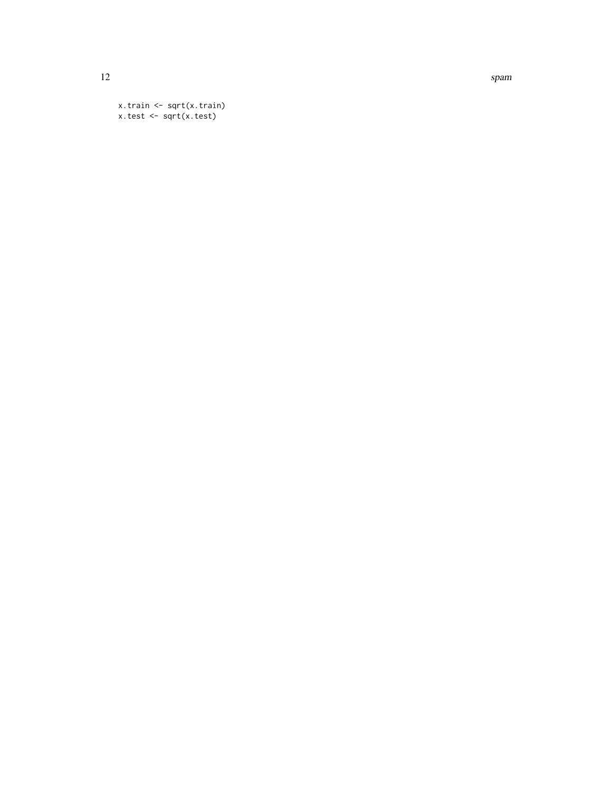12 spam

```
x.train <- sqrt(x.train)
x.test <- sqrt(x.test)
```